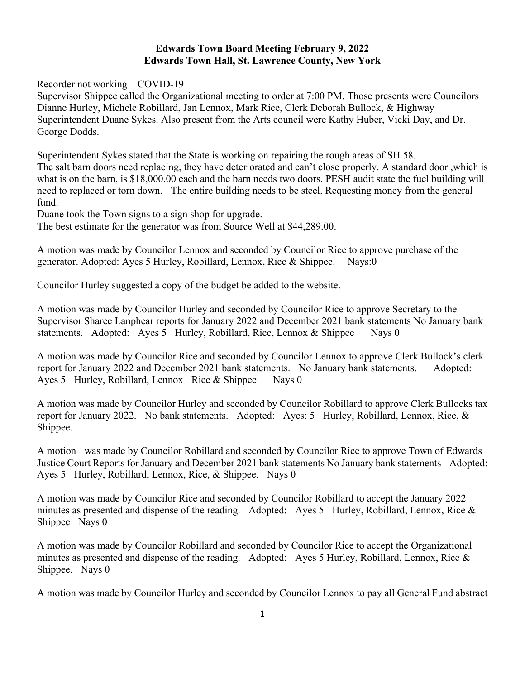## **Edwards Town Board Meeting February 9, 2022 Edwards Town Hall, St. Lawrence County, New York**

Recorder not working – COVID-19

Supervisor Shippee called the Organizational meeting to order at 7:00 PM. Those presents were Councilors Dianne Hurley, Michele Robillard, Jan Lennox, Mark Rice, Clerk Deborah Bullock, & Highway Superintendent Duane Sykes. Also present from the Arts council were Kathy Huber, Vicki Day, and Dr. George Dodds.

Superintendent Sykes stated that the State is working on repairing the rough areas of SH 58. The salt barn doors need replacing, they have deteriorated and can't close properly. A standard door ,which is what is on the barn, is \$18,000.00 each and the barn needs two doors. PESH audit state the fuel building will need to replaced or torn down. The entire building needs to be steel. Requesting money from the general fund.

Duane took the Town signs to a sign shop for upgrade.

The best estimate for the generator was from Source Well at \$44,289.00.

A motion was made by Councilor Lennox and seconded by Councilor Rice to approve purchase of the generator. Adopted: Ayes 5 Hurley, Robillard, Lennox, Rice & Shippee. Nays:0

Councilor Hurley suggested a copy of the budget be added to the website.

A motion was made by Councilor Hurley and seconded by Councilor Rice to approve Secretary to the Supervisor Sharee Lanphear reports for January 2022 and December 2021 bank statements No January bank statements. Adopted: Ayes 5 Hurley, Robillard, Rice, Lennox & Shippee Nays 0

A motion was made by Councilor Rice and seconded by Councilor Lennox to approve Clerk Bullock's clerk report for January 2022 and December 2021 bank statements. No January bank statements. Adopted: Ayes 5 Hurley, Robillard, Lennox Rice & Shippee Nays 0

A motion was made by Councilor Hurley and seconded by Councilor Robillard to approve Clerk Bullocks tax report for January 2022. No bank statements. Adopted: Ayes: 5 Hurley, Robillard, Lennox, Rice, & Shippee.

A motion was made by Councilor Robillard and seconded by Councilor Rice to approve Town of Edwards Justice Court Reports for January and December 2021 bank statements No January bank statements Adopted: Ayes 5 Hurley, Robillard, Lennox, Rice, & Shippee. Nays 0

A motion was made by Councilor Rice and seconded by Councilor Robillard to accept the January 2022 minutes as presented and dispense of the reading. Adopted: Ayes 5 Hurley, Robillard, Lennox, Rice & Shippee Nays 0

A motion was made by Councilor Robillard and seconded by Councilor Rice to accept the Organizational minutes as presented and dispense of the reading. Adopted: Ayes 5 Hurley, Robillard, Lennox, Rice & Shippee. Nays 0

A motion was made by Councilor Hurley and seconded by Councilor Lennox to pay all General Fund abstract